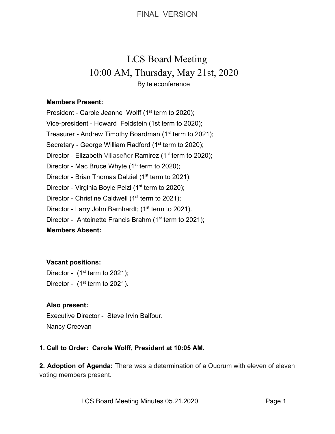FINAL VERSION

# LCS Board Meeting 10:00 AM, Thursday, May 21st, 2020 By teleconference

#### **Members Present:**

President - Carole Jeanne Wolff  $(1<sup>st</sup>$  term to 2020); Vice-president - Howard Feldstein (1st term to 2020); Treasurer - Andrew Timothy Boardman (1<sup>st</sup> term to 2021); Secretary - George William Radford (1<sup>st</sup> term to 2020); Director - Elizabeth Villaseñor Ramirez (1<sup>st</sup> term to 2020); Director - Mac Bruce Whyte  $(1<sup>st</sup>$  term to 2020); Director - Brian Thomas Dalziel ( $1<sup>st</sup>$  term to 2021); Director - Virginia Boyle Pelzl (1<sup>st</sup> term to 2020); Director - Christine Caldwell ( $1<sup>st</sup>$  term to 2021); Director - Larry John Barnhardt; (1<sup>st</sup> term to 2021). Director - Antoinette Francis Brahm ( $1<sup>st</sup>$  term to 2021);

#### **Members Absent:**

### **Vacant positions:**

Director -  $(1<sup>st</sup>$  term to 2021); Director -  $(1<sup>st</sup>$  term to 2021).

### **Also present:**

Executive Director - Steve Irvin Balfour. Nancy Creevan

### **1. Call to Order: Carole Wolff, President at 10:05 AM.**

**2. Adoption of Agenda:** There was a determination of a Quorum with eleven of eleven voting members present.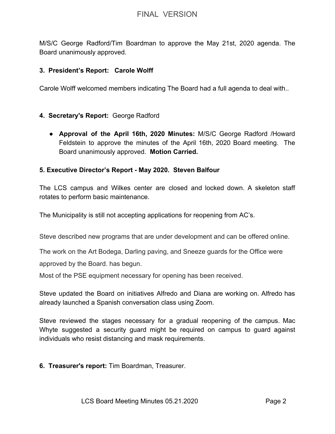M/S/C George Radford/Tim Boardman to approve the May 21st, 2020 agenda. The Board unanimously approved.

### **3. President's Report: Carole Wolff**

Carole Wolff welcomed members indicating The Board had a full agenda to deal with..

## **4. Secretary's Report:** George Radford

● **Approval of the April 16th, 2020 Minutes:** M/S/C George Radford /Howard Feldstein to approve the minutes of the April 16th, 2020 Board meeting. The Board unanimously approved. **Motion Carried.**

### **5. Executive Director's Report - May 2020. Steven Balfour**

The LCS campus and Wilkes center are closed and locked down. A skeleton staff rotates to perform basic maintenance.

The Municipality is still not accepting applications for reopening from AC's.

Steve described new programs that are under development and can be offered online.

The work on the Art Bodega, Darling paving, and Sneeze guards for the Office were

approved by the Board. has begun.

Most of the PSE equipment necessary for opening has been received.

Steve updated the Board on initiatives Alfredo and Diana are working on. Alfredo has already launched a Spanish conversation class using Zoom.

Steve reviewed the stages necessary for a gradual reopening of the campus. Mac Whyte suggested a security guard might be required on campus to guard against individuals who resist distancing and mask requirements.

**6. Treasurer's report:** Tim Boardman, Treasurer.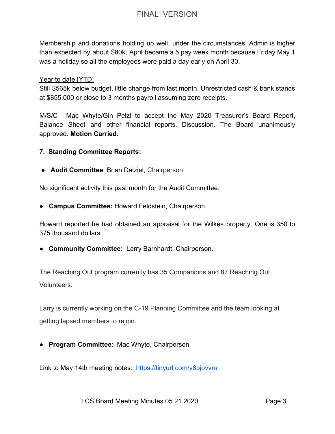# FINAL VERSION

Membership and donations holding up well, under the circumstances. Admin is higher than expected by about \$80k, April became a 5 pay week month because Friday May 1 was a holiday so all the employees were paid a day early on April 30.

Year to date [YTD]

Still \$565k below budget, little change from last month. Unrestricted cash & bank stands at \$855,000 or close to 3 months payroll assuming zero receipts.

M/S/C Mac Whyte/Gin Pelzl to accept the May 2020 Treasurer's Board Report, Balance Sheet and other financial reports. Discussion. The Board unanimously approved. **Motion Carried.**

**7. Standing Committee Reports:**

● **Audit Committee**: Brian Dalziel, Chairperson.

No significant activity this past month for the Audit Committee.

● **Campus Committee:** Howard Feldstein, Chairperson.

Howard reported he had obtained an appraisal for the Wilkes property. One is 350 to 375 thousand dollars.

**● Community Committee:** Larry Barnhardt. Chairperson.

The Reaching Out program currently has 35 Companions and 87 Reaching Out Volunteers.

Larry is currently working on the C-19 Planning Committee and the team looking at getting lapsed members to rejoin.

● **Program Committee**: Mac Whyte, Chairperson

Link to May 14th meeting notes: <https://tinyurl.com/y8pjovvm>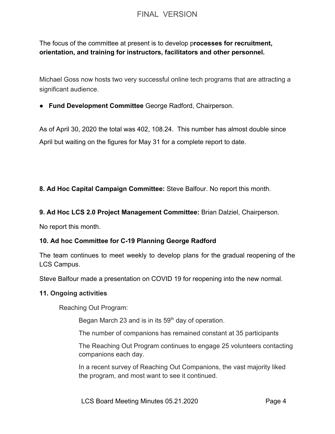# FINAL VERSION

The focus of the committee at present is to develop p**rocesses for recruitment, orientation, and training for instructors, facilitators and other personnel.**

Michael Goss now hosts two very successful online tech programs that are attracting a significant audience.

**● Fund Development Committee** George Radford, Chairperson.

As of April 30, 2020 the total was 402, 108.24. This number has almost double since April but waiting on the figures for May 31 for a complete report to date.

**8. Ad Hoc Capital Campaign Committee:** Steve Balfour. No report this month.

**9. Ad Hoc LCS 2.0 Project Management Committee:** Brian Dalziel, Chairperson.

No report this month.

#### **10. Ad hoc Committee for C-19 Planning George Radford**

The team continues to meet weekly to develop plans for the gradual reopening of the LCS Campus.

Steve Balfour made a presentation on COVID 19 for reopening into the new normal.

#### **11. Ongoing activities**

Reaching Out Program:

Began March 23 and is in its  $59<sup>th</sup>$  day of operation.

The number of companions has remained constant at 35 participants

The Reaching Out Program continues to engage 25 volunteers contacting companions each day.

In a recent survey of Reaching Out Companions, the vast majority liked the program, and most want to see it continued.